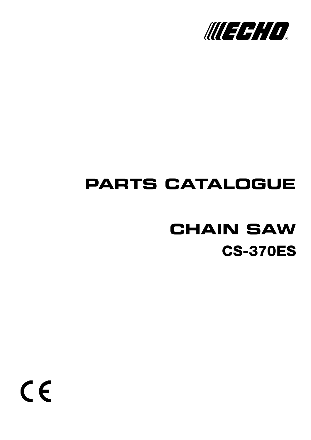

# **PARTS CATALOGUE**

# **CS-370ES CHAIN SAW**

 $C \in$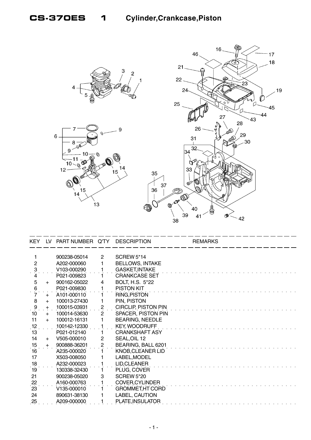

| KEY.                | LV. | PART NUMBER Q'TY |                | <b>DESCRIPTION</b>         | <b>REMARKS</b> |
|---------------------|-----|------------------|----------------|----------------------------|----------------|
|                     |     |                  |                |                            |                |
|                     |     | 900238-05014     | $\mathbf{2}$   | <b>SCREW 5*14</b>          |                |
| $\overline{2}$      |     | A202-000060      |                | <b>BELLOWS, INTAKE</b>     |                |
| $\ddot{\mathbf{3}}$ |     | V103-000290      |                | <b>GASKET, INTAKE</b>      |                |
|                     |     | P021-009823      |                | <b>CRANKCASE SET</b>       |                |
| 5                   | $+$ | 900162-05022     | 4              | BOLT, H.S. 5*22            |                |
| 6                   |     | P021-009830      |                | <b>PISTON KIT</b>          |                |
| $\dot{7}$           | $+$ | A101-000110      |                | RING, PISTON               |                |
| 8                   | $+$ | 100013-27430     | 1              | PIN, PISTON                |                |
| 9                   | $+$ | 100015-03931     | $\overline{c}$ | <b>CIRCLIP, PISTON PIN</b> |                |
| 10                  | $+$ | 100014-53630     | $\overline{2}$ | SPACER, PISTON PIN         |                |
| 11                  | $+$ | 100012-16131     |                | <b>BEARING, NEEDLE</b>     |                |
| 12                  |     | 100142-12330     |                | <b>KEY, WOODRUFF</b>       |                |
| 13                  |     | P021-012140      |                | <b>CRANKSHAFT ASY</b>      |                |
| 14                  | $+$ | V505-000010      | 2              | SEAL, OIL 12               |                |
| 15                  | $+$ | 900888-36201     | 2              | BEARING, BALL 6201         |                |
| 16                  |     | A235-000020      |                | KNOB, CLEANER LID          |                |
| 17                  |     | X503-008050      |                | LABEL, MODEL               |                |
| 18                  |     | A232-000023      |                | LID, CLEANER               |                |
| 19                  |     | 130338-32430     |                | PLUG, COVER                |                |
| 21                  |     | 900238-05020     | 3              | <b>SCREW 5*20</b>          |                |
| 22                  |     | A160-000763      |                | <b>COVER, CYLINDER</b>     |                |
| 23                  |     | V135-000010      |                | <b>GROMMET, HT CORD</b>    |                |
| 24                  |     | 890631-38130     |                | LABEL, CAUTION             |                |
| 25                  |     | A209-000000      |                | PLATE, INSULATOR           |                |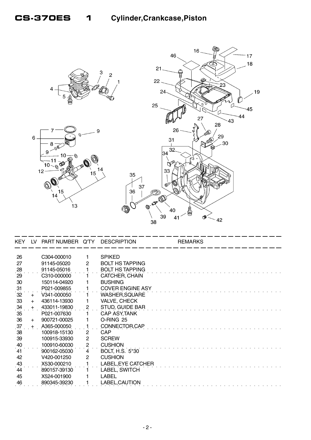

| <b>KEY</b>     | LV. | PART NUMBER Q'TY |                | <b>DESCRIPTION</b>      | <b>REMARKS</b> |  |
|----------------|-----|------------------|----------------|-------------------------|----------------|--|
|                |     |                  |                |                         |                |  |
| 26             |     | C304-000010      |                | <b>SPIKED</b>           |                |  |
| 27             |     | 91145-05020      | 2              | <b>BOLT HS TAPPING</b>  |                |  |
| 28             |     | 91145-05016      |                | <b>BOLT HS TAPPING</b>  |                |  |
| 29             |     | C310-000000      |                | CATCHER, CHAIN          |                |  |
| 30             |     | 150114-04920     |                | <b>BUSHING</b>          |                |  |
| 31             |     | P021-009855      |                | <b>COVER ENGINE ASY</b> |                |  |
| $32^{\circ}$   | $+$ | V341-000050      |                | WASHER, SQUARE          |                |  |
| 33             | $+$ | 436114-13930     |                | <b>VALVE, CHECK</b>     |                |  |
| $\frac{34}{1}$ | $+$ | 433011-19830     |                | <b>STUD, GUIDE BAR</b>  |                |  |
| 35             |     | P021-007630      |                | <b>CAP ASY, TANK</b>    |                |  |
| 36             | $+$ | 900721-00025     |                | O-RING 25               |                |  |
| 37             | $+$ | A365-000050      |                | CONNECTOR, CAP          |                |  |
| 38             |     | 100918-15130     | 2              | <b>CAP</b>              |                |  |
| 39             |     | 100915-33930     | 2              | <b>SCREW</b>            |                |  |
| 40             |     | 100910-60030     | $\overline{c}$ | <b>CUSHION</b>          |                |  |
| $41$           |     | 900162-05030     | 4              | <b>BOLT, H.S. 5*30</b>  |                |  |
| 42             |     | V420-001250      | 2              | <b>CUSHION</b>          |                |  |
| 43             |     | X530-000210      |                | LABEL, EYE CATCHER      |                |  |
| 44             |     | 890157-39130     |                | LABEL, SWITCH           |                |  |
| 45             |     | X524-001900      |                | LABEL                   |                |  |
| 46             |     | 890345-39230     |                | LABEL, CAUTION          |                |  |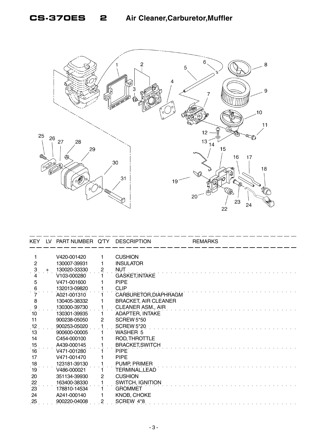

| <b>KEY</b>          | LV. | PART NUMBER Q'TY |                | <b>DESCRIPTION</b>          | <b>REMARKS</b> |
|---------------------|-----|------------------|----------------|-----------------------------|----------------|
|                     |     |                  |                |                             |                |
|                     |     | V420-001420      |                | <b>CUSHION</b>              |                |
| $\overline{2}$      |     | 130007-39931     |                | <b>INSULATOR</b>            |                |
| $\ddot{\mathbf{3}}$ | $+$ | 130020-33330     | $\overline{c}$ | <b>NUT</b>                  |                |
|                     |     | V103-000280      |                | <b>GASKET, INTAKE</b>       |                |
| 5                   |     | V471-001600      |                | <b>PIPE</b>                 |                |
| 6                   |     | 132013-09820     |                | <b>CLIP</b>                 |                |
|                     |     | A021-001310      |                | CARBURETOR, DIAPHRAGM       |                |
| 8                   |     | 130405-38332     |                | <b>BRACKET, AIR CLEANER</b> |                |
| $\frac{9}{10}$      |     | 130300-39730     |                | CLEANER ASM., AIR           |                |
|                     |     | 130301-39935     |                | <b>ADAPTER, INTAKE</b>      |                |
| 11                  |     | 900238-05050     | 2              | <b>SCREW 5*50</b>           |                |
| .12                 |     | 900253-05020     |                | <b>SCREW 5*20</b>           |                |
| 13                  |     | 900600-00005     |                | <b>WASHER 5</b>             |                |
| 14                  |     | C454-000100      |                | ROD, THROTTLE               |                |
| 15                  |     | A439-000145      |                | <b>BRACKET, SWITCH</b>      |                |
| 16                  |     | V471-001280      |                | <b>PIPE</b>                 |                |
| 17                  |     | V471-001470      |                | <b>PIPE</b>                 |                |
| 18                  |     | 123181-39130     |                | PUMP, PRIMER                |                |
| 19                  |     | V486-000021      |                | TERMINAL,LEAD               |                |
| 20                  |     | 351134-39930     | $\overline{2}$ | <b>CUSHION</b>              |                |
|                     |     | 163400-38330     |                | <b>SWITCH, IGNITION</b>     |                |
| $\frac{22}{23}$     |     | 178810-14534     |                | <b>GROMMET</b>              |                |
| 24                  |     | A241-000140      |                | <b>KNOB, CHOKE</b>          |                |
| 25                  |     | 900220-04008     | 2              | SCREW 4*8                   |                |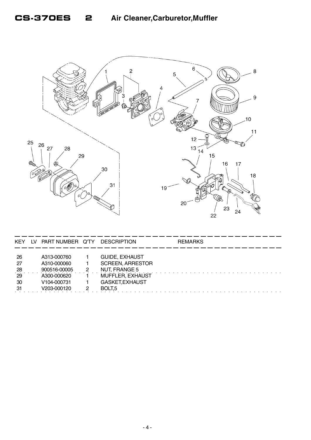

| <b>KEY</b>                                | LV | PART NUMBER Q'TY                                                                                     | <b>DESCRIPTION</b>                                                                                                             | <b>REMARKS</b> |
|-------------------------------------------|----|------------------------------------------------------------------------------------------------------|--------------------------------------------------------------------------------------------------------------------------------|----------------|
| -26<br>-27<br>$^{28}$<br>29<br>-30<br>-31 |    | A313-000760<br>A310-000060<br>900516-00005<br>A300-000620<br>V <sub>104</sub> -000731<br>V203-000120 | <b>GUIDE, EXHAUST</b><br><b>SCREEN, ARRESTOR</b><br>NUT, FRANGE 5<br>MUFFLER, EXHAUST<br>GASKET, EXHAUST<br>BOLT <sub>.5</sub> |                |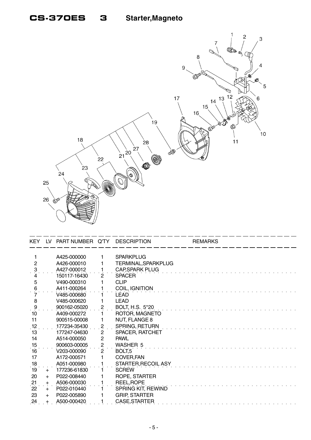

| <b>KEY</b>     | LV.   | PART NUMBER Q'TY |                         | <b>DESCRIPTION</b>     | <b>REMARKS</b> |
|----------------|-------|------------------|-------------------------|------------------------|----------------|
|                |       |                  |                         |                        |                |
| 1              |       | A425-000000      | 1                       | <b>SPARKPLUG</b>       |                |
| $\overline{c}$ |       | A426-000010      |                         | TERMINAL, SPARKPLUG    |                |
| $\ddot{\cdot}$ |       | A427-000012      |                         | CAP, SPARK PLUG        |                |
| 4              |       | 150117-16430     | $\overline{2}$          | <b>SPACER</b>          |                |
| 5              |       | V490-000310      |                         | <b>CLIP</b>            |                |
| 6              |       | A411-000264      |                         | COIL, IGNITION         |                |
|                |       | V485-000680      |                         | <b>LEAD</b>            |                |
| 8              |       | V485-000620      |                         | <b>LEAD</b>            |                |
| $\cdot$ 9      |       | 900162-05020     | $\overline{2}$          | <b>BOLT, H.S. 5*20</b> |                |
| 10             |       | A409-000272      |                         | ROTOR, MAGNETO         |                |
| 11             |       | 900515-00008     | 1                       | <b>NUT, FLANGE 8</b>   |                |
| 12             |       | 177234-35430     | $\overline{c}$          | SPRING, RETURN         |                |
| 13             |       | 177247-04630     | 2                       | SPACER, RATCHET        |                |
| 14             |       | A514-000050      | $\overline{c}$          | <b>PAWL</b>            |                |
| 15             |       | 900603-00005     | $\overline{\mathbf{c}}$ | <b>WASHER 5</b>        |                |
| 16             |       | V203-000090      | $\mathbf{2}$            | BOLT <sub>,5</sub>     |                |
| 17             |       | A172-000571      |                         | COVER, FAN             |                |
| 18             |       | A051-000980      |                         | STARTER, RECOIL ASY    |                |
| 19             | $+$   | 177236-61830     |                         | <b>SCREW</b>           |                |
| 20             | $+$   | P022-008440      |                         | ROPE, STARTER          |                |
| 21             | $+$   | A506-000030      |                         | REEL, ROPE             |                |
| 22             | $+$   | P022-010440      |                         | SPRING KIT, REWIND     |                |
| 23             | $+$   | P022-005890      |                         | <b>GRIP, STARTER</b>   |                |
| 24             | $\pm$ | A500-000420      |                         | CASE, STARTER          |                |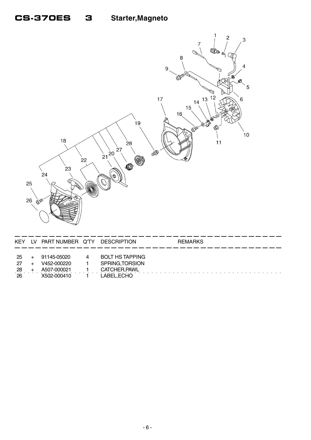3



| -25  | + 91145-05020 | $\overline{4}$ | BOLT HS TAPPING |
|------|---------------|----------------|-----------------|
| 27   | V452-000220   | $\sim$ 1       | SPRING.TORSION  |
| -28  | A507-000021   | $\sim$ 1       | CATCHER,PAWL    |
| - 26 | X502-000410   |                | LABEL,ECHO      |

 $\mathcal{L}_{\mathbf{r}}$ 

 $\ddot{\phantom{a}}$ 

 $\mathcal{A}$  , and  $\mathcal{A}$  , and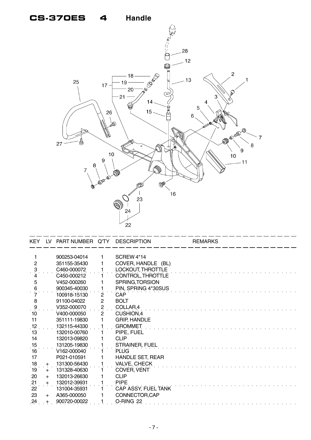### **CS-370ES 4 Handle**



| <b>KEY</b>                              | LV. | PART NUMBER Q'TY |                | <b>DESCRIPTION</b>      | <b>REMARKS</b> |
|-----------------------------------------|-----|------------------|----------------|-------------------------|----------------|
|                                         |     |                  |                |                         |                |
| 1                                       |     | 900253-04014     | 1              | SCREW <sub>4</sub> *14  |                |
| $\overline{2}$                          |     | 351155-35430     | 1              | COVER, HANDLE (BL)      |                |
| $\ddot{\mathbf{3}}$                     |     | C460-000072      |                | LOCKOUT, THROTTLE       |                |
| 4                                       |     | C450-000212      |                | CONTROL, THROTTLE       |                |
| 5                                       |     | V452-000260      |                | SPRING, TORSION         |                |
| $\,6$                                   |     | 900345-40030     |                | PIN, SPRING 4*30SUS     |                |
|                                         |     | 100918-15130     | $\mathbf{2}$   | CAP                     |                |
| 8                                       |     | 91100-04022      | $\overline{c}$ | <b>BOLT</b>             |                |
| $\frac{9}{1}$                           |     | V352-000070      | $\overline{2}$ | COLLAR,4                |                |
| 10                                      |     | V400-000050      | $\overline{2}$ | CUSHION, 4              |                |
| 11                                      |     | 351111-19830     |                | <b>GRIP, HANDLE</b>     |                |
| $\begin{array}{c} 12 \\ 13 \end{array}$ |     | 132115-44330     |                | <b>GROMMET</b>          |                |
|                                         |     | 132010-00760     |                | PIPE, FUEL              |                |
| 14                                      |     | 132013-09820     |                | <b>CLIP</b>             |                |
| $\begin{array}{c} 15 \\ 16 \end{array}$ |     | 131205-19830     |                | STRAINER, FUEL          |                |
|                                         |     | V162-000040      |                | <b>PLUG</b>             |                |
| 17                                      |     | P021-010591      |                | <b>HANDLE SET, REAR</b> |                |
| 18                                      | $+$ | 131300-56430     |                | <b>VALVE, CHECK</b>     |                |
| 19                                      | $+$ | 131328-40630     |                | <b>COVER, VENT</b>      |                |
| 20                                      | $+$ | 132013-26630     |                | <b>CLIP</b>             |                |
| 21                                      | $+$ | 132012-39931     |                | <b>PIPE</b>             |                |
| $\dot{22}$                              |     | 131004-35931     |                | CAP ASSY, FUEL TANK     |                |
| 23                                      | $+$ | A365-000050      |                | CONNECTOR, CAP          |                |
| 24                                      | $+$ | 900720-00022     |                | O-RING 22               |                |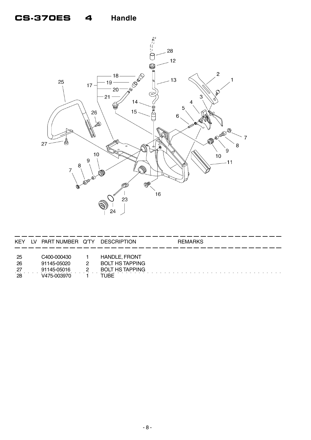#### **Handle CS-370ES** 4



| KEY                     | LV. | PART NUMBER Q'TY                                         |   | <b>DESCRIPTION</b>                                                               | <b>REMARKS</b> |
|-------------------------|-----|----------------------------------------------------------|---|----------------------------------------------------------------------------------|----------------|
| -25<br>26<br>-27<br>-28 |     | C400-000430<br>91145-05020<br>91145-05016<br>V475-003970 | 2 | <b>HANDLE, FRONT</b><br><b>BOLT HS TAPPING</b><br><b>BOLT HS TAPPING</b><br>TUBE |                |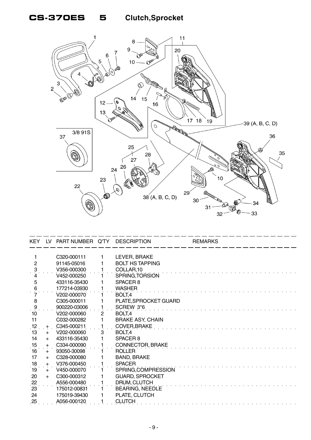## **CS-370ES 5 Clutch,Sprocket**



| <b>KEY</b>          | LV. | PART NUMBER Q'TY |                       | <b>DESCRIPTION</b>      | <b>REMARKS</b> |
|---------------------|-----|------------------|-----------------------|-------------------------|----------------|
|                     |     |                  |                       |                         |                |
|                     |     | C320-000111      | 1                     | LEVER, BRAKE            |                |
| $\overline{2}$      |     | 91145-05016      |                       | <b>BOLT HS TAPPING</b>  |                |
| $\ddot{\mathbf{3}}$ |     | V356-000300      |                       | COLLAR,10               |                |
|                     |     | V452-000250      |                       | SPRING, TORSION         |                |
| 5                   |     | 433116-35430     |                       | SPACER <sub>8</sub>     |                |
| 6                   |     | 177214-03930     |                       | <b>WASHER</b>           |                |
|                     |     | V202-000070      |                       | BOLT,4                  |                |
| 8                   |     | C305-000011      |                       | PLATE, SPROCKET GUARD   |                |
| $\ddot{\theta}$     |     | 900220-03006     |                       | SCREW 3*6               |                |
| 10                  |     | V202-000060      | $\mathbf{2}^{\prime}$ | BOLT,4                  |                |
| 11                  |     | C032-000282      |                       | <b>BRAKE ASY, CHAIN</b> |                |
| .12                 | $+$ | C345-000211      |                       | <b>COVER, BRAKE</b>     |                |
| 13                  | $+$ | V202-000060      | 3                     | BOLT,4                  |                |
| 14                  | $+$ | 433116-35430     |                       | SPACER <sub>8</sub>     |                |
| 15                  | $+$ | C334-000090      |                       | <b>CONNECTOR, BRAKE</b> |                |
| 16                  | $+$ | 93050-30098      |                       | <b>ROLLER</b>           |                |
| 17                  | $+$ | C328-000080      |                       | <b>BAND, BRAKE</b>      |                |
| 18                  | $+$ | V376-000450      |                       | <b>SPACER</b>           |                |
| 19                  | $+$ | V450-000070      |                       | SPRING, COMPRESSION     |                |
| 20                  | $+$ | C300-000312      |                       | <b>GUARD, SPROCKET</b>  |                |
|                     |     | A556-000480      |                       | DRUM, CLUTCH            |                |
| $\frac{22}{23}$     |     | 175012-00831     |                       | BEARING, NEEDLE         |                |
| 24                  |     | 175019-39430     |                       | PLATE, CLUTCH           |                |
| 25                  |     | A056-000120      |                       | <b>CLUTCH</b>           |                |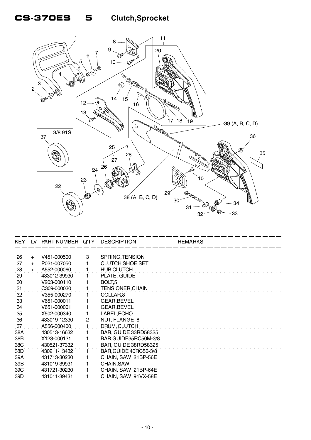# **CS-370ES 5 Clutch,Sprocket**



| KEY.            | LV. | PART NUMBER Q'TY DESCRIPTION |                |                         | <b>REMARKS</b> |
|-----------------|-----|------------------------------|----------------|-------------------------|----------------|
| 26              | $+$ | V451-000500                  | 3              | SPRING, TENSION         |                |
| 27              | $+$ | P021-007050                  |                | <b>CLUTCH SHOE SET</b>  |                |
|                 | $+$ | A552-000060                  |                | <b>HUB,CLUTCH</b>       |                |
| $\frac{28}{29}$ |     | 433012-39930                 |                | PLATE, GUIDE            |                |
| 30              |     | V203-000110                  |                | BOLT <sub>,5</sub>      |                |
| 31              |     | C309-000030                  |                | <b>TENSIONER, CHAIN</b> |                |
| 32              |     | V355-000270                  |                | COLLAR <sub>8</sub>     |                |
| 33              |     | V651-000011                  |                | <b>GEAR, BEVEL</b>      |                |
| .34             |     | V651-000001                  |                | <b>GEAR, BEVEL</b>      |                |
| 35              |     | X502-000340                  |                | LABEL, ECHO             |                |
| 36              |     | 433019-12330                 | $\overline{2}$ | NUT, FLANGE 8           |                |
| 37              |     | A556-000400                  |                | DRUM, CLUTCH            |                |
| 38A             |     | 430513-16632                 |                | BAR, GUIDE 33RD58325    |                |
| 38B             |     | X123-000131                  |                | BAR, GUIDE35RC50M-3/8   |                |
| 38C             |     | 430521-37332                 |                | BAR, GUIDE 38RD58325    |                |
| 38D             |     | 430211-13432                 |                | BAR, GUIDE 40RC50-3/8   |                |
| 39A             |     | 431713-30230                 |                | CHAIN, SAW 21BP-56E     |                |
| 39B             |     | 431019-39931                 |                | <b>CHAIN, SAW</b>       |                |
| 39C             |     | 431721-30230                 |                | CHAIN, SAW 21BP-64E     |                |
| 39D             |     | 431011-39431                 |                | CHAIN, SAW 91VX-58E     |                |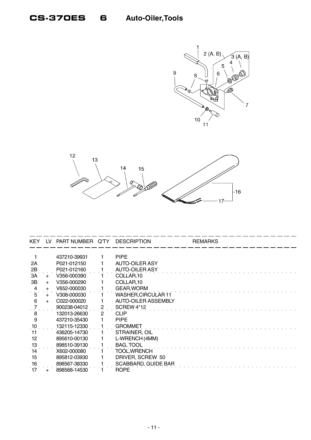



| <b>KEY</b>     | 1V  | PART NUMBER Q'TY |              | <b>DESCRIPTION</b>         | <b>REMARKS</b> |
|----------------|-----|------------------|--------------|----------------------------|----------------|
|                |     |                  |              |                            |                |
|                |     | 437210-39931     |              | <b>PIPE</b>                |                |
| 2A             |     | P021-012150      |              | <b>AUTO-OILER ASY</b>      |                |
| 2B             |     | P021-012160      |              | <b>AUTO-OILER ASY</b>      |                |
| 3A             | $+$ | V356-000390      |              | COLLAR,10                  |                |
| 3B             | $+$ | V356-000290      |              | COLLAR,10                  |                |
| 4              | $+$ | V652-000030      |              | <b>GEAR, WORM</b>          |                |
| $\overline{5}$ | $+$ | V308-000030      |              | WASHER, CIRCULAR 11        |                |
| 6              | $+$ | C022-000020      |              | <b>AUTO-OILER ASSEMBLY</b> |                |
|                |     | 900238-04012     | 2            | SCREW 4*12                 |                |
| 8              |     | 132013-26630     | $\mathbf{2}$ | <b>CLIP</b>                |                |
| 9              |     | 437210-35430     |              | <b>PIPE</b>                |                |
| 10             |     | 132115-12330     |              | <b>GROMMET</b>             |                |
| 11             |     | 436205-14730     |              | STRAINER, OIL              |                |
| 12             |     | 895610-00130     |              | L-WRENCH (4MM)             |                |
| 13             |     | 898510-39130     |              | <b>BAG, TOOL</b>           |                |
| 14             |     | X602-000080      |              | TOOL, WRENCH               |                |
| 15             |     | 895812-03930     |              | DRIVER, SCREW 50           |                |
| 16             |     | 898567-38330     |              | SCABBARD, GUIDE BAR        |                |
| 17             | +   | 898568-14530     |              | <b>ROPE</b>                |                |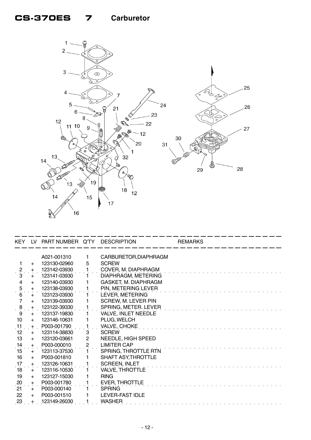### **CS-370ES 7 Carburetor**



|                     |           | KEY LV PART NUMBER Q'TY DESCRIPTION |                |                       | <b>REMARKS</b> |
|---------------------|-----------|-------------------------------------|----------------|-----------------------|----------------|
|                     |           | A021-001310                         | 1              | CARBURETOR, DIAPHRAGM |                |
|                     | $\ddot{}$ | 123130-02960                        | 5              | <b>SCREW</b>          |                |
| $\frac{2}{1}$       | $+$       | 123142-03930                        |                | COVER, M. DIAPHRAGM   |                |
| 3                   | $+$       | 123141-03930                        | $\mathbf{1}$   | DIAPHRAGM, METERING   |                |
| $\overline{4}$      | $+$       | 123140-03930                        | 1.             | GASKET, M. DIAPHRAGM  |                |
| 5                   | $+$       | 123138-03930                        |                | PIN, METERING LEVER   |                |
| $\overline{6}$      | $+$       | 123123-03930                        | 1              | LEVER, METERING       |                |
| $\overline{7}$      | $+$       | 123139-03930                        | 1              | SCREW, M. LEVER PIN   |                |
| $\ddot{\mathbf{8}}$ | $+$       | 123122-39330                        |                | SPRING, METER. LEVER  |                |
| 9                   | $+$       | 123137-19830                        | 1.             | VALVE, INLET NEEDLE   |                |
| 10                  | $+$       | 123146-10631                        |                | PLUG, WELCH           |                |
| 11                  | $+$       | P003-001790                         | $\mathbf{1}$   | VALVE, CHOKE          |                |
| 12                  | $+$       | 123114-38830                        | 3              | <b>SCREW</b>          |                |
| 13                  | $+$       | 123120-03661                        | $\overline{2}$ | NEEDLE, HIGH SPEED    |                |
| 14                  | $+$       | P003-000010                         | $\mathbf{2}$   | <b>LIMITER CAP</b>    |                |
| $\overline{15}$     | $+$       | 123113-37530                        |                | SPRING, THROTTLE RTN  |                |
| 16                  | $+$       | P003-001810                         |                | SHAFT ASY, THROTTLE   |                |
| 17                  | $+$       | 123126-10631                        |                | <b>SCREEN, INLET</b>  |                |
| 18                  | $+$       | 123116-10530                        |                | VALVE, THROTTLE       |                |
| 19                  | $+$       | 123127-15030                        |                | <b>RING</b>           |                |
| 20                  | $+$       | P003-001780                         |                | <b>EVER, THROTTLE</b> |                |
| 21                  | $+$       | P003-000140                         |                | <b>SPRING</b>         |                |
| 22                  | $+$       | P003-001510                         |                | LEVER-FAST IDLE       |                |
| $^{23}$             |           | 123149-26030                        |                | <b>WASHER</b>         |                |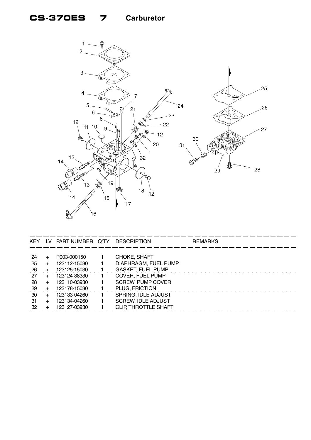### **CS-370ES 7 Carburetor**



| KEY.            |        | LV PART NUMBER Q'TY DESCRIPTION |                             | <b>REMARKS</b> |
|-----------------|--------|---------------------------------|-----------------------------|----------------|
|                 |        |                                 |                             |                |
| -24             |        | P003-000150                     | CHOKE, SHAFT                |                |
| 25              |        | 123112-15030                    | DIAPHRAGM, FUEL PUMP        |                |
| $^{26}$         |        | 123125-15030                    | <b>GASKET, FUEL PUMP</b>    |                |
| 27              | $+$    | 123124-38330                    | <b>COVER, FUEL PUMP</b>     |                |
| -28             | $+$    | 123110-03930                    | <b>SCREW, PUMP COVER</b>    |                |
| 29              |        | 123178-15030                    | PLUG, FRICTION              |                |
| 30 <sup>°</sup> | $\div$ | 123133-04260                    | SPRING, IDLE ADJUST         |                |
| -31             | $+$    | 123134-04260                    | <b>SCREW, IDLE ADJUST</b>   |                |
| 32              |        | 123127-03930                    | <b>CLIP, THROTTLE SHAFT</b> |                |

 $-$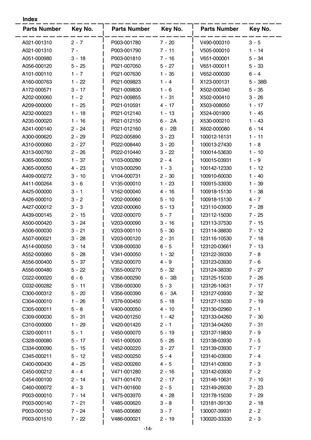| <b>Parts Number</b> | Key No.  | <b>Parts Number</b> | Key No.  | <b>Parts Number</b> | Key No.   |
|---------------------|----------|---------------------|----------|---------------------|-----------|
| A021-001310         | $2 - 7$  | P003-001780         | $7 - 20$ | V490-000310         | $3 - 5$   |
| A021-001310         | $7 -$    | P003-001790         | $7 - 11$ | V505-000010         | $1 - 14$  |
| A051-000980         | $3 - 18$ | P003-001810         | 7 - 16   | V651-000001         | $5 - 34$  |
| A056-000120         | $5 - 25$ | P021-007050         | $5 - 27$ | V651-000011         | $5 - 33$  |
| A101-000110         | $1 - 7$  | P021-007630         | $1 - 35$ | V652-000030         | $6 - 4$   |
| A160-000763         | $1 - 22$ | P021-009823         | $1 - 4$  | X123-000131         | $5 - 38B$ |
| A172-000571         | $3 - 17$ | P021-009830         | $1 - 6$  | X502-000340         | $5 - 35$  |
| A202-000060         | $1 - 2$  | P021-009855         | $1 - 31$ | X502-000410         | $3 - 26$  |
| A209-000000         | $1 - 25$ | P021-010591         | 4 - 17   | X503-008050         | 1 - 17    |
| A232-000023         | $1 - 18$ | P021-012140         | $1 - 13$ | X524-001900         | $1 - 45$  |
| A235-000020         | $1 - 16$ | P021-012150         | $6 - 2A$ | X530-000210         | $1 - 43$  |
| A241-000140         | $2 - 24$ | P021-012160         | $6 - 2B$ | X602-000080         | $6 - 14$  |
| A300-000620         | $2 - 29$ | P022-005890         | $3 - 23$ | 100012-16131        | $1 - 11$  |
| A310-000060         | $2 - 27$ | P022-008440         | $3 - 20$ | 100013-27430        | $1 - 8$   |
| A313-000760         | $2 - 26$ | P022-010440         | $3 - 22$ | 100014-53630        | $1 - 10$  |
| A365-000050         | $1 - 37$ | V103-000280         | $2 - 4$  | 100015-03931        | $1 - 9$   |
| A365-000050         | $4 - 23$ | V103-000290         | $1 - 3$  | 100142-12330        | $1 - 12$  |
| A409-000272         | $3 - 10$ | V104-000731         | $2 - 30$ | 100910-60030        | $1 - 40$  |
| A411-000264         | $3 - 6$  | V135-000010         | $1 - 23$ | 100915-33930        | $1 - 39$  |
| A425-000000         | $3 - 1$  | V162-000040         | $4 - 16$ | 100918-15130        | $1 - 38$  |
| A426-000010         | $3 - 2$  | V202-000060         | $5 - 10$ | 100918-15130        | $4 - 7$   |
| A427-000012         | $3 - 3$  | V202-000060         | $5 - 13$ | 123110-03930        | $7 - 28$  |
| A439-000145         | $2 - 15$ | V202-000070         | $5 - 7$  | 123112-15030        | $7 - 25$  |
| A500-000420         | $3 - 24$ | V203-000090         | $3 - 16$ | 123113-37530        | $7 - 15$  |
| A506-000030         | $3 - 21$ | V203-000110         | $5 - 30$ | 123114-38830        | $7 - 12$  |
| A507-000021         | $3 - 28$ | V203-000120         | $2 - 31$ | 123116-10530        | $7 - 18$  |
| A514-000050         | $3 - 14$ | V308-000030         | $6 - 5$  | 123120-03661        | $7 - 13$  |
| A552-000060         | 5 - 28   | V341-000050         | 1 - 32   | 123122-39330        | 7 - 8     |
| A556-000400         | $5 - 37$ | V352-000070         | 4 - 9    | 123123-03930        | $7 - 6$   |
| A556-000480         | $5 - 22$ | V355-000270         | $5 - 32$ | 123124-38330        | $7 - 27$  |
| C022-000020         | $6 - 6$  | V356-000290         | 6 - 3B   | 123125-15030        | $7 - 26$  |
| C032-000282         | $5 - 11$ | V356-000300         | $5 - 3$  | 123126-10631        | $7 - 17$  |
| C300-000312         | $5 - 20$ | V356-000390         | 6 - 3A   | 123127-03930        | $7 - 32$  |
| C304-000010         | $1 - 26$ | V376-000450         | 5 - 18   | 123127-15030        | $7 - 19$  |
| C305-000011         | $5 - 8$  | V400-000050         | 4 - 10   | 123130-02960        | $7 - 1$   |
| C309-000030         | $5 - 31$ | V420-001250         | 1 - 42   | 123133-04260        | $7 - 30$  |
| C310-000000         | 1 - 29   | V420-001420         | $2 - 1$  | 123134-04260        | $7 - 31$  |
| C320-000111         | $5 - 1$  | V450-000070         | $5 - 19$ | 123137-19830        | $7 - 9$   |
| C328-000080         | $5 - 17$ | V451-000500         | $5 - 26$ | 123138-03930        | $7 - 5$   |
| C334-000090         | $5 - 15$ | V452-000220         | $3 - 27$ | 123139-03930        | $7 - 7$   |
| C345-000211         | $5 - 12$ | V452-000250         | 5 - 4    | 123140-03930        | $7 - 4$   |
| C400-000430         | $4 - 25$ | V452-000260         | 4 - 5    | 123141-03930        | $7 - 3$   |
| C450-000212         | $4 - 4$  | V471-001280         | $2 - 16$ | 123142-03930        | $7 - 2$   |
| C454-000100         | $2 - 14$ | V471-001470         | $2 - 17$ | 123146-10631        | $7 - 10$  |
| C460-000072         | $4 - 3$  | V471-001600         | $2 - 5$  | 123149-26030        | $7 - 23$  |
| P003-000010         | $7 - 14$ | V475-003970         | $4 - 28$ | 123178-15030        | $7 - 29$  |
| P003-000140         | $7 - 21$ | V485-000620         | $3 - 8$  | 123181-39130        | $2 - 18$  |
| P003-000150         | 7 - 24   | V485-000680         | $3 - 7$  | 130007-39931        | $2 - 2$   |
| P003-001510         | $7 - 22$ | V486-000021         | $2 - 19$ | 130020-33330        | $2 - 3$   |

**Index**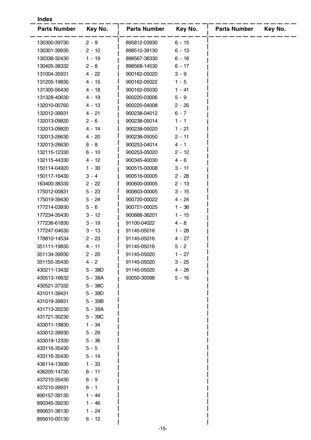| <b>Index</b>        |           |                     |          |                     |         |  |  |
|---------------------|-----------|---------------------|----------|---------------------|---------|--|--|
| <b>Parts Number</b> | Key No.   | <b>Parts Number</b> | Key No.  | <b>Parts Number</b> | Key No. |  |  |
| 130300-39730        | $2 - 9$   | 895812-03930        | $6 - 15$ |                     |         |  |  |
| 130301-39935        | $2 - 10$  | 898510-39130        | $6 - 13$ |                     |         |  |  |
| 130338-32430        | $1 - 19$  | 898567-38330        | $6 - 16$ |                     |         |  |  |
| 130405-38332        | $2 - 8$   | 898568-14530        | $6 - 17$ |                     |         |  |  |
| 131004-35931        | $4 - 22$  | 900162-05020        | $3 - 9$  |                     |         |  |  |
| 131205-19830        | $4 - 15$  | 900162-05022        | $1 - 5$  |                     |         |  |  |
| 131300-56430        | $4 - 18$  | 900162-05030        | $1 - 41$ |                     |         |  |  |
| 131328-40630        | $4 - 19$  | 900220-03006        | $5 - 9$  |                     |         |  |  |
| 132010-00760        | $4 - 13$  | 900220-04008        | $2 - 25$ |                     |         |  |  |
| 132012-39931        | $4 - 21$  | 900238-04012        | $6 - 7$  |                     |         |  |  |
| 132013-09820        | $2 - 6$   | 900238-05014        | $1 - 1$  |                     |         |  |  |
| 132013-09820        | $4 - 14$  | 900238-05020        | $1 - 21$ |                     |         |  |  |
| 132013-26630        | $4 - 20$  | 900238-05050        | $2 - 11$ |                     |         |  |  |
| 132013-26630        | $6 - 8$   | 900253-04014        | $4 - 1$  |                     |         |  |  |
| 132115-12330        | $6 - 10$  | 900253-05020        | $2 - 12$ |                     |         |  |  |
| 132115-44330        | 4 - 12    | 900345-40030        | $4 - 6$  |                     |         |  |  |
| 150114-04920        | $1 - 30$  | 900515-00008        | $3 - 11$ |                     |         |  |  |
| 150117-16430        | $3 - 4$   | 900516-00005        | $2 - 28$ |                     |         |  |  |
| 163400-38330        | $2 - 22$  | 900600-00005        | $2 - 13$ |                     |         |  |  |
| 175012-00831        | $5 - 23$  | 900603-00005        | $3 - 15$ |                     |         |  |  |
| 175019-39430        | $5 - 24$  | 900720-00022        | $4 - 24$ |                     |         |  |  |
| 177214-03930        | $5 - 6$   | 900721-00025        | $1 - 36$ |                     |         |  |  |
| 177234-35430        | 3 - 12    | 900888-36201        | $1 - 15$ |                     |         |  |  |
| 177236-61830        | $3 - 19$  | 91100-04022         | $4 - 8$  |                     |         |  |  |
| 177247-04630        | $3 - 13$  | 91145-05016         | $1 - 28$ |                     |         |  |  |
| 178810-14534        | $2 - 23$  | 91145-05016         | 4 - 27   |                     |         |  |  |
| 351111-19830        | $4 - 11$  | 91145-05016         | $5 - 2$  |                     |         |  |  |
| 351134-39930        | $2 - 20$  | 91145-05020         | $1 - 27$ |                     |         |  |  |
| 351155-35430        | $4 - 2$   | 91145-05020         | $3 - 25$ |                     |         |  |  |
| 430211-13432        | 5 - 38D   | 91145-05020         | $4 - 26$ |                     |         |  |  |
| 430513-16632        | $5 - 38A$ | 93050-30098         | $5 - 16$ |                     |         |  |  |
| 430521-37332        | $5 - 38C$ |                     |          |                     |         |  |  |
| 431011-39431        | $5 - 39D$ |                     |          |                     |         |  |  |
| 431019-39931        | $5 - 39B$ |                     |          |                     |         |  |  |
| 431713-30230        | 5 - 39A   |                     |          |                     |         |  |  |
| 431721-30230        | $5 - 39C$ |                     |          |                     |         |  |  |
| 433011-19830        | $1 - 34$  |                     |          |                     |         |  |  |
| 433012-39930        | $5 - 29$  |                     |          |                     |         |  |  |
| 433019-12330        | $5 - 36$  |                     |          |                     |         |  |  |
| 433116-35430        | $5 - 5$   |                     |          |                     |         |  |  |
| 433116-35430        | $5 - 14$  |                     |          |                     |         |  |  |
| 436114-13930        | $1 - 33$  |                     |          |                     |         |  |  |
| 436205-14730        | $6 - 11$  |                     |          |                     |         |  |  |
| 437210-35430        | $6 - 9$   |                     |          |                     |         |  |  |
| 437210-39931        | $6 - 1$   |                     |          |                     |         |  |  |
| 890157-39130        | $1 - 44$  |                     |          |                     |         |  |  |
| 890345-39230        | $1 - 46$  |                     |          |                     |         |  |  |
| 890631-38130        | $1 - 24$  |                     |          |                     |         |  |  |
| 895610-00130        | $6 - 12$  |                     |          |                     |         |  |  |
|                     |           |                     |          |                     |         |  |  |